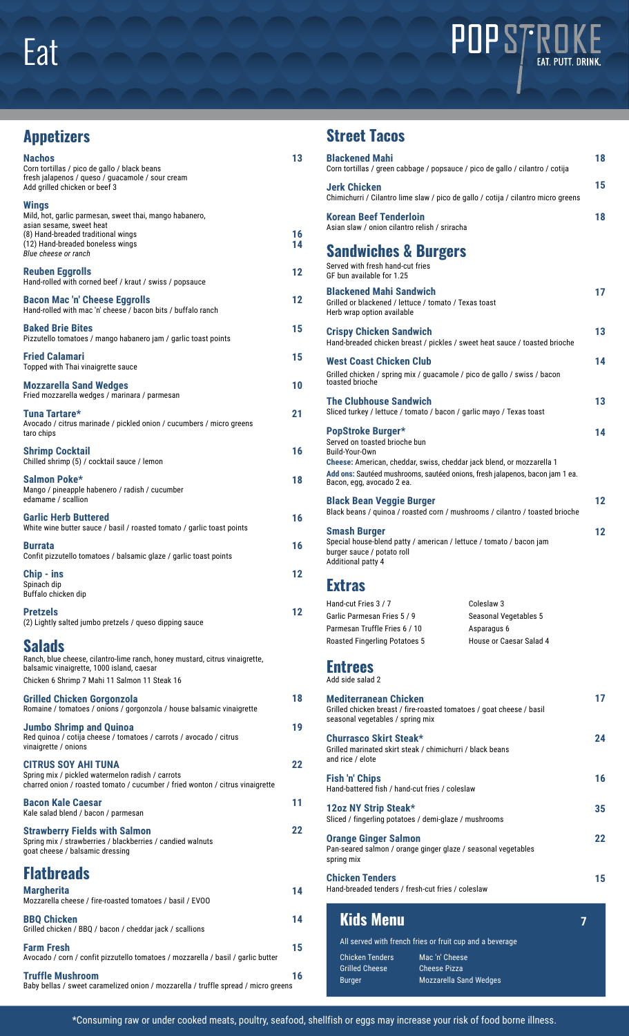

## **Street Tacos**

| 13       | <b>Blackened Mahi</b>                                                                                                    | Corn tortillas / green cabbage / popsauce / pico de gallo / cilantro / cotija     | 18 |
|----------|--------------------------------------------------------------------------------------------------------------------------|-----------------------------------------------------------------------------------|----|
|          | Jerk Chicken                                                                                                             | Chimichurri / Cilantro lime slaw / pico de gallo / cotija / cilantro micro greens | 15 |
|          | <b>Korean Beef Tenderloin</b><br>Asian slaw / onion cilantro relish / sriracha                                           |                                                                                   | 18 |
| 16<br>14 | <b>Sandwiches &amp; Burgers</b>                                                                                          |                                                                                   |    |
| 12       | Served with fresh hand-cut fries<br>GF bun available for 1.25                                                            |                                                                                   |    |
| 12       | <b>Blackened Mahi Sandwich</b><br>Grilled or blackened / lettuce / tomato / Texas toast<br>Herb wrap option available    |                                                                                   | 17 |
| 15       | <b>Crispy Chicken Sandwich</b>                                                                                           | Hand-breaded chicken breast / pickles / sweet heat sauce / toasted brioche        | 13 |
| 15       | West Coast Chicken Club<br>toasted brioche                                                                               | Grilled chicken / spring mix / guacamole / pico de gallo / swiss / bacon          | 14 |
| 10       | <b>The Clubhouse Sandwich</b>                                                                                            |                                                                                   | 13 |
| 21       | PopStroke Burger*                                                                                                        | Sliced turkey / lettuce / tomato / bacon / garlic mayo / Texas toast              | 14 |
| 16       | Served on toasted brioche bun<br>Build-Your-Own<br>Cheese: American, cheddar, swiss, cheddar jack blend, or mozzarella 1 |                                                                                   |    |
| 18       | Bacon, egg, avocado 2 ea.                                                                                                | Add ons: Sautéed mushrooms, sautéed onions, fresh jalapenos, bacon jam 1 ea.      |    |
| 16       | <b>Black Bean Veggie Burger</b>                                                                                          | Black beans / quinoa / roasted corn / mushrooms / cilantro / toasted brioche      | 12 |
| 16       | <b>Smash Burger</b><br>burger sauce / potato roll<br>Additional patty 4                                                  | Special house-blend patty / american / lettuce / tomato / bacon jam               | 12 |
| 12       | <b>Extras</b>                                                                                                            |                                                                                   |    |
| 12       | Hand-cut Fries 3 / 7<br>Garlic Parmesan Fries 5 / 9<br>Parmesan Truffle Fries 6 / 10                                     | Coleslaw 3<br>Seasonal Vegetables 5<br>Asparagus 6                                |    |
|          | <b>Roasted Fingerling Potatoes 5</b>                                                                                     | House or Caesar Salad 4                                                           |    |
|          | <b>Entrees</b><br>Add side salad 2                                                                                       |                                                                                   |    |
| 18       | <b>Mediterranean Chicken</b>                                                                                             | Grilled chicken breast / fire-roasted tomatoes / goat cheese / basil              | 17 |
| 19       | seasonal vegetables / spring mix<br><b>Churrasco Skirt Steak*</b>                                                        |                                                                                   | 24 |
| 22       | Grilled marinated skirt steak / chimichurri / black beans<br>and rice / elote                                            |                                                                                   |    |
|          | <b>Fish 'n' Chips</b><br>Hand-battered fish / hand-cut fries / coleslaw                                                  |                                                                                   | 16 |
| 11       | 12oz NY Strip Steak*<br>Sliced / fingerling potatoes / demi-glaze / mushrooms                                            |                                                                                   | 35 |
| 22       | <b>Orange Ginger Salmon</b><br>Pan-seared salmon / orange ginger glaze / seasonal vegetables<br>spring mix               |                                                                                   | 22 |
| 14       | <b>Chicken Tenders</b><br>Hand-breaded tenders / fresh-cut fries / coleslaw                                              |                                                                                   | 15 |
| 14       | <b>Kids Menu</b>                                                                                                         |                                                                                   | 7  |
| 15       | <b>Chicken Tenders</b>                                                                                                   | All served with french fries or fruit cup and a beverage<br>Mac 'n' Cheese        |    |
| 16       | <b>Grilled Cheese</b><br>Burger                                                                                          | <b>Cheese Pizza</b><br><b>Mozzarella Sand Wedges</b>                              |    |

## **Appetizers**

| <b>Nachos</b><br>Corn tortillas / pico de gallo / black beans<br>fresh jalapenos / queso / guacamole / sour cream<br>Add grilled chicken or beef 3                                  |   |
|-------------------------------------------------------------------------------------------------------------------------------------------------------------------------------------|---|
| <b>Wings</b><br>Mild, hot, garlic parmesan, sweet thai, mango habanero,<br>asian sesame, sweet heat<br>(8) Hand-breaded traditional wings                                           |   |
| (12) Hand-breaded boneless wings<br>Blue cheese or ranch                                                                                                                            |   |
| <b>Reuben Eggrolls</b><br>Hand-rolled with corned beef / kraut / swiss / popsauce                                                                                                   |   |
| <b>Bacon Mac 'n' Cheese Eggrolls</b><br>Hand-rolled with mac 'n' cheese / bacon bits / buffalo ranch                                                                                |   |
| <b>Baked Brie Bites</b><br>Pizzutello tomatoes / mango habanero jam / garlic toast points                                                                                           |   |
| <b>Fried Calamari</b><br>Topped with Thai vinaigrette sauce                                                                                                                         |   |
| <b>Mozzarella Sand Wedges</b><br>Fried mozzarella wedges / marinara / parmesan                                                                                                      |   |
| Tuna Tartare*<br>Avocado / citrus marinade / pickled onion / cucumbers / micro greens<br>taro chips                                                                                 |   |
| <b>Shrimp Cocktail</b><br>Chilled shrimp (5) / cocktail sauce / lemon                                                                                                               |   |
| Salmon Poke*<br>Mango / pineapple habenero / radish / cucumber<br>edamame / scallion                                                                                                |   |
| <b>Garlic Herb Buttered</b><br>White wine butter sauce / basil / roasted tomato / garlic toast points                                                                               | 1 |
| <b>Burrata</b><br>Confit pizzutello tomatoes / balsamic glaze / garlic toast points                                                                                                 |   |
| Chip - ins<br>Spinach dip<br>Buffalo chicken dip                                                                                                                                    |   |
| <b>Pretzels</b><br>(2) Lightly salted jumbo pretzels / queso dipping sauce                                                                                                          |   |
| Salads<br>Ranch, blue cheese, cilantro-lime ranch, honey mustard, citrus vinaigrette,<br>balsamic vinaigrette, 1000 island, caesar<br>Chicken 6 Shrimp 7 Mahi 11 Salmon 11 Steak 16 |   |
| Grilled Chicken Gorgonzola<br>Romaine / tomatoes / onions / gorgonzola / house balsamic vinaigrette                                                                                 |   |
| <b>Jumbo Shrimp and Quinoa</b><br>Red quinoa / cotija cheese / tomatoes / carrots / avocado / citrus<br>vinaigrette / onions                                                        |   |
| <b>CITRUS SOY AHI TUNA</b><br>Spring mix / pickled watermelon radish / carrots<br>charred onion / roasted tomato / cucumber / fried wonton / citrus vinaigrette                     | í |
| <b>Bacon Kale Caesar</b><br>Kale salad blend / bacon / parmesan                                                                                                                     |   |
| <b>Strawberry Fields with Salmon</b><br>Spring mix / strawberries / blackberries / candied walnuts<br>goat cheese / balsamic dressing                                               |   |
| <b>Flatbreads</b>                                                                                                                                                                   |   |
| <b>Margherita</b><br>Mozzarella cheese / fire-roasted tomatoes / basil / EVOO                                                                                                       |   |
| <b>BBO Chicken</b><br>Grilled chicken / BBQ / bacon / cheddar jack / scallions                                                                                                      |   |
| <b>Farm Fresh</b><br>Avocado / corn / confit pizzutello tomatoes / mozzarella / basil / garlic butter                                                                               |   |
| <b>Truffle Mushroom</b><br>Baby bellas / sweet caramelized onion / mozzarella / truffle spread / micro greens                                                                       |   |

\*Consuming raw or under cooked meats, poultry, seafood, shellfish or eggs may increase your risk of food borne illness.